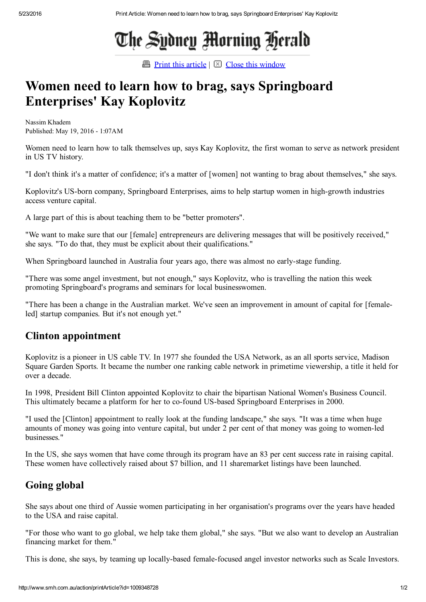# The Sydney Morning Herald

**Print this [article](javascript:window.print();)**  $\boxtimes$  Close this [window](javascript:window.close();)

## Women need to learn how to brag, says Springboard Enterprises' Kay Koplovitz

Nassim Khadem Published: May 19, 2016 1:07AM

Women need to learn how to talk themselves up, says Kay Koplovitz, the first woman to serve as network president in US TV history.

"I don't think it's a matter of confidence; it's a matter of [women] not wanting to brag about themselves," she says.

Koplovitz's US-born company, Springboard Enterprises, aims to help startup women in high-growth industries access venture capital.

A large part of this is about teaching them to be "better promoters".

"We want to make sure that our [female] entrepreneurs are delivering messages that will be positively received," she says. "To do that, they must be explicit about their qualifications."

When Springboard launched in Australia four years ago, there was almost no early-stage funding.

"There was some angel investment, but not enough," says Koplovitz, who is travelling the nation this week promoting Springboard's programs and seminars for local businesswomen.

"There has been a change in the Australian market. We've seen an improvement in amount of capital for [femaleled] startup companies. But it's not enough yet."

#### Clinton appointment

Koplovitz is a pioneer in US cable TV. In 1977 she founded the USA Network, as an all sports service, Madison Square Garden Sports. It became the number one ranking cable network in primetime viewership, a title it held for over a decade.

In 1998, President Bill Clinton appointed Koplovitz to chair the bipartisan National Women's Business Council. This ultimately became a platform for her to co-found US-based Springboard Enterprises in 2000.

"I used the [Clinton] appointment to really look at the funding landscape," she says. "It was a time when huge amounts of money was going into venture capital, but under 2 per cent of that money was going to women-led businesses."

In the US, she says women that have come through its program have an 83 per cent success rate in raising capital. These women have collectively raised about \$7 billion, and 11 sharemarket listings have been launched.

### Going global

She says about one third of Aussie women participating in her organisation's programs over the years have headed to the USA and raise capital.

"For those who want to go global, we help take them global," she says. "But we also want to develop an Australian financing market for them."

This is done, she says, by teaming up locally-based female-focused angel investor networks such as Scale Investors.